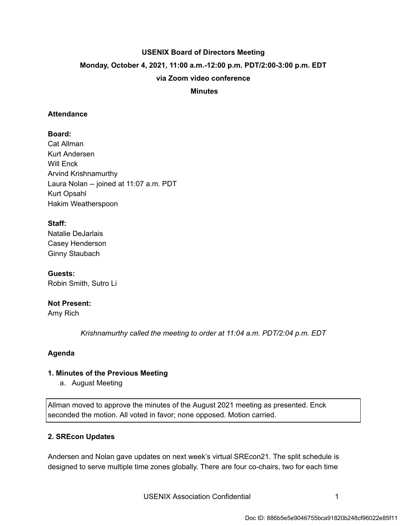# **USENIX Board of Directors Meeting Monday, October 4, 2021, 11:00 a.m.-12:00 p.m. PDT/2:00-3:00 p.m. EDT via Zoom video conference**

## **Minutes**

### **Attendance**

**Board:**  Cat Allman Kurt Andersen Will Enck Arvind Krishnamurthy Laura Nolan -- joined at 11:07 a.m. PDT Kurt Opsahl Hakim Weatherspoon

# **Staff:**

Natalie DeJarlais Casey Henderson Ginny Staubach

**Guests:**  Robin Smith, Sutro Li

# **Not Present:**

Amy Rich

 *Krishnamurthy called the meeting to order at 11:04 a.m. PDT/2:04 p.m. EDT* 

#### **Agenda**

#### **1. Minutes of the Previous Meeting**

a. August Meeting

Allman moved to approve the minutes of the August 2021 meeting as presented. Enck seconded the motion. All voted in favor; none opposed. Motion carried.

#### **2. SREcon Updates**

Andersen and Nolan gave updates on next week's virtual SREcon21. The split schedule is designed to serve multiple time zones globally. There are four co-chairs, two for each time

USENIX Association Confidential **1** 1